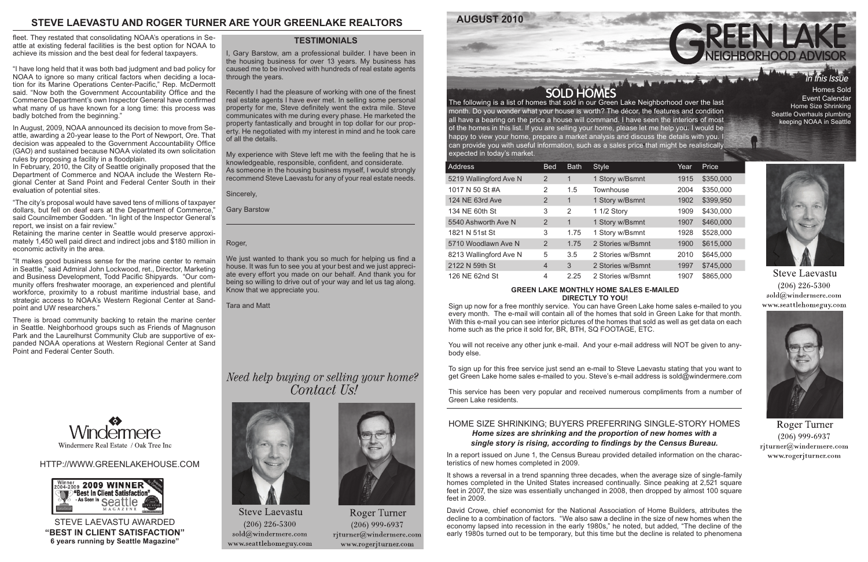## HTTP://WWW.GREENLAKEHOUSE.COM



## month. Do you wonder what your house is worth? The décor, the features and condition all have a bearing on the price a house will command. I have seen the interiors of most of the homes in this list. If you are selling your home, please let me help you. I would be happy to view your home, prepare a market analysis and discuss the details with you. I

| can provide you with useful information, such as a sales price that might be realistically<br>expected in today's market. |                |             |                   |      |              |  |
|---------------------------------------------------------------------------------------------------------------------------|----------------|-------------|-------------------|------|--------------|--|
| Address                                                                                                                   | <b>Bed</b>     | <b>Bath</b> | <b>Style</b>      | Year | <b>Price</b> |  |
| 5219 Wallingford Ave N                                                                                                    | 2              | 1           | 1 Story w/Bsmnt   | 1915 | \$350,000    |  |
| 1017 N 50 St #A                                                                                                           | 2              | 1.5         | Townhouse         | 2004 | \$350,000    |  |
| 124 NE 63rd Ave                                                                                                           | 2              | 1           | 1 Story w/Bsmnt   | 1902 | \$399,950    |  |
| 134 NE 60th St                                                                                                            | 3              | 2           | 1 1/2 Story       | 1909 | \$430,000    |  |
| 5540 Ashworth Ave N                                                                                                       | 2              | 1           | 1 Story w/Bsmnt   | 1907 | \$460,000    |  |
| 1821 N 51st St                                                                                                            | 3              | 1.75        | 1 Story w/Bsmnt   | 1928 | \$528,000    |  |
| 5710 Woodlawn Ave N                                                                                                       | 2              | 1.75        | 2 Stories w/Bsmnt | 1900 | \$615,000    |  |
| 8213 Wallingford Ave N                                                                                                    | 5              | 3.5         | 2 Stories w/Bsmnt | 2010 | \$645,000    |  |
| 2122 N 59th St                                                                                                            | $\overline{4}$ | 3           | 2 Stories w/Bsmnt | 1997 | \$745,000    |  |
| 126 NE 62nd St                                                                                                            | 4              | 2.25        | 2 Stories w/Bsmnt | 1907 | \$865,000    |  |



#### **GREEN LAKE MONTHLY HOME SALES E-MAILED DIRECTLY TO YOU!**

Sign up now for a free monthly service. You can have Green Lake home sales e-mailed to you every month. The e-mail will contain all of the homes that sold in Green Lake for that month. With this e-mail you can see interior pictures of the homes that sold as well as get data on each home such as the price it sold for, BR, BTH, SQ FOOTAGE, ETC.

You will not receive any other junk e-mail. And your e-mail address will NOT be given to anybody else.

To sign up for this free service just send an e-mail to Steve Laevastu stating that you want to get Green Lake home sales e-mailed to you. Steve's e-mail address is sold@windermere.com

This service has been very popular and received numerous compliments from a number of Green Lake residents.

## **STEVE LAEVASTU AND ROGER TURNER ARE YOUR GREENLAKE REALTORS**

STEVE LAEVASTU AWARDED **"BEST IN CLIENT SATISFACTION" 6 years running by Seattle Magazine"**

### **TESTIMONIALS**

Event Calendar Home Size Shrinking Seattle Overhauls plumbing keeping NOAA in Seattle



**Steve Laevastu**  $(206)$  226-5300 sold@windermere.com www.seattlehomeguy.com



Roger Turner  $(206)$  999-6937 rjturner@windermere.com www.rogerjturner.com

## HOME SIZE SHRINKING; BUYERS PREFERRING SINGLE-STORY HOMES *Home sizes are shrinking and the proportion of new homes with a single story is rising, according to findings by the Census Bureau.*

In a report issued on June 1, the Census Bureau provided detailed information on the characteristics of new homes completed in 2009.

It shows a reversal in a trend spanning three decades, when the average size of single-family homes completed in the United States increased continually. Since peaking at 2,521 square feet in 2007, the size was essentially unchanged in 2008, then dropped by almost 100 square feet in 2009.

David Crowe, chief economist for the National Association of Home Builders, attributes the decline to a combination of factors. "We also saw a decline in the size of new homes when the economy lapsed into recession in the early 1980s," he noted, but added, "The decline of the early 1980s turned out to be temporary, but this time but the decline is related to phenomena

We just wanted to thank you so much for helping us find a house. It was fun to see you at your best and we just appreciate every effort you made on our behalf. And thank you for being so willing to drive out of your way and let us tag along. Know that we appreciate you.

fleet. They restated that consolidating NOAA's operations in Seattle at existing federal facilities is the best option for NOAA to achieve its mission and the best deal for federal taxpayers.

"I have long held that it was both bad judgment and bad policy for NOAA to ignore so many critical factors when deciding a location for its Marine Operations Center-Pacific," Rep. McDermott said. "Now both the Government Accountability Office and the Commerce Department's own Inspector General have confirmed what many of us have known for a long time: this process was badly botched from the beginning."

In August, 2009, NOAA announced its decision to move from Seattle, awarding a 20-year lease to the Port of Newport, Ore. That decision was appealed to the Government Accountability Office (GAO) and sustained because NOAA violated its own solicitation rules by proposing a facility in a floodplain.

In February, 2010, the City of Seattle originally proposed that the Department of Commerce and NOAA include the Western Regional Center at Sand Point and Federal Center South in their evaluation of potential sites.

"The city's proposal would have saved tens of millions of taxpayer dollars, but fell on deaf ears at the Department of Commerce," said Councilmember Godden. "In light of the Inspector General's report, we insist on a fair review."

Retaining the marine center in Seattle would preserve approximately 1,450 well paid direct and indirect jobs and \$180 million in economic activity in the area.

"It makes good business sense for the marine center to remain in Seattle," said Admiral John Lockwood, ret., Director, Marketing and Business Development, Todd Pacific Shipyards. "Our community offers freshwater moorage, an experienced and plentiful workforce, proximity to a robust maritime industrial base, and strategic access to NOAA's Western Regional Center at Sandpoint and UW researchers."

There is broad community backing to retain the marine center in Seattle. Neighborhood groups such as Friends of Magnuson Park and the Laurelhurst Community Club are supportive of expanded NOAA operations at Western Regional Center at Sand Point and Federal Center South.



I, Gary Barstow, am a professional builder. I have been in the housing business for over 13 years. My business has caused me to be involved with hundreds of real estate agents through the years.

Recently I had the pleasure of working with one of the finest real estate agents I have ever met. In selling some personal property for me, Steve definitely went the extra mile. Steve communicates with me during every phase. He marketed the property fantastically and brought in top dollar for our property. He negotiated with my interest in mind and he took care of all the details.

My experience with Steve left me with the feeling that he is knowledgeable, responsible, confident, and considerate. As someone in the housing business myself, I would strongly recommend Steve Laevastu for any of your real estate needs.

Sincerely,

Gary Barstow

#### Roger,

Tara and Matt

# Need help buying or selling your home? Contact Us!



**Steve Laevastu**  $(206)$  226-5300  $sold@$ windermere.com www.seattlehomeguy.com



Roger Turner  $(206)$  999-6937 rjturner@windermere.com www.rogerjturner.com